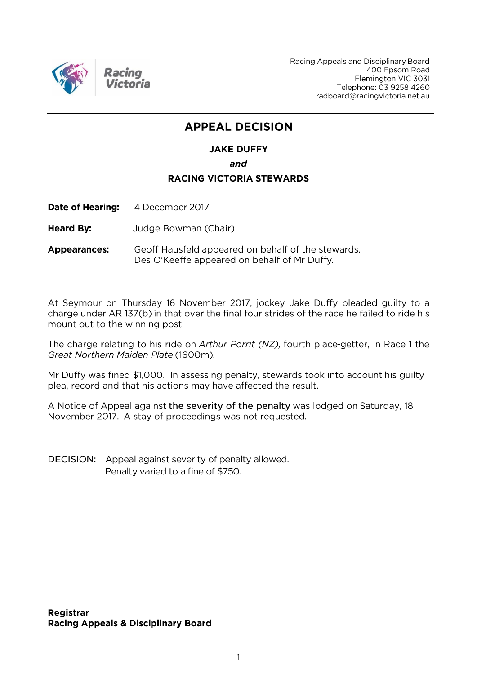

Racing Appeals and Disciplinary Board 400 Epsom Road Flemington VIC 3031 Telephone: 03 9258 4260 radboard@racingvictoria.net.au

### **APPEAL DECISION**

## **JAKE DUFFY**

and

#### **RACING VICTORIA STEWARDS**

**Date of Hearing:** 4 December 2017

**Heard By:** Judge Bowman (Chair)

Geoff Hausfeld appeared on behalf of the stewards. **Appearances:** Des O'Keeffe appeared on behalf of Mr Duffy.

At Seymour on Thursday 16 November 2017, jockey Jake Duffy pleaded guilty to a charge under AR 137(b) in that over the final four strides of the race he failed to ride his mount out to the winning post.

The charge relating to his ride on Arthur Porrit (NZ), fourth place-getter, in Race 1 the Great Northern Maiden Plate (1600m).

Mr Duffy was fined \$1,000. In assessing penalty, stewards took into account his guilty plea, record and that his actions may have affected the result.

A Notice of Appeal against the severity of the penalty was lodged on Saturday, 18 November 2017. A stay of proceedings was not requested.

DECISION: Appeal against severity of penalty allowed. Penalty varied to a fine of \$750.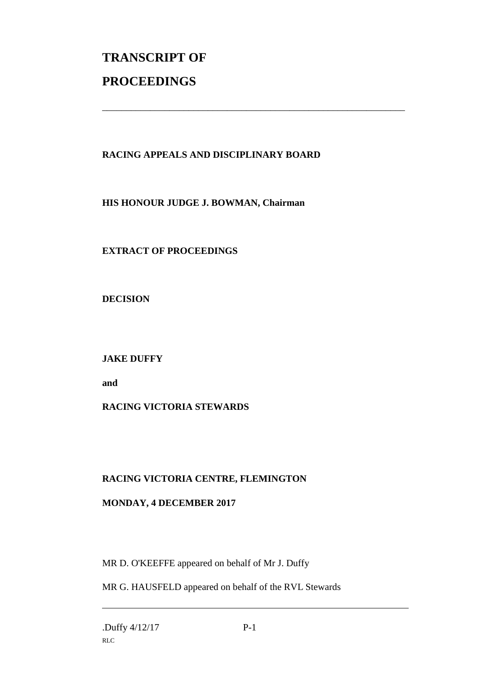# **TRANSCRIPT OF PROCEEDINGS**

#### **RACING APPEALS AND DISCIPLINARY BOARD**

\_\_\_\_\_\_\_\_\_\_\_\_\_\_\_\_\_\_\_\_\_\_\_\_\_\_\_\_\_\_\_\_\_\_\_\_\_\_\_\_\_\_\_\_\_\_\_\_\_\_\_\_\_\_\_\_\_\_\_\_\_\_\_

**HIS HONOUR JUDGE J. BOWMAN, Chairman**

#### **EXTRACT OF PROCEEDINGS**

**DECISION**

#### **JAKE DUFFY**

**and**

#### **RACING VICTORIA STEWARDS**

#### **RACING VICTORIA CENTRE, FLEMINGTON**

#### **MONDAY, 4 DECEMBER 2017**

MR D. O'KEEFFE appeared on behalf of Mr J. Duffy

MR G. HAUSFELD appeared on behalf of the RVL Stewards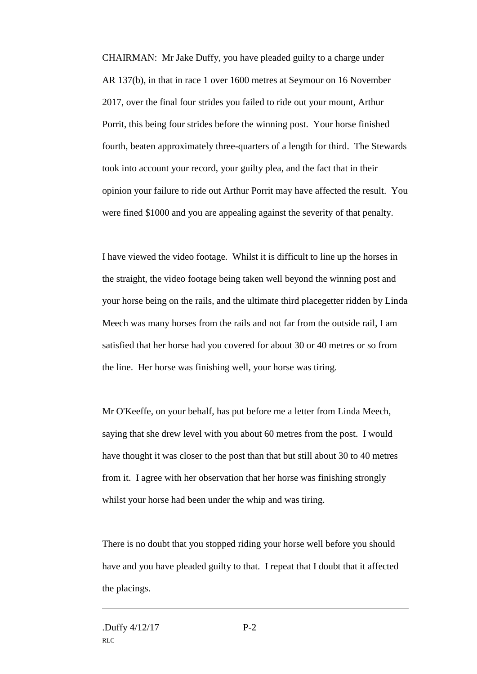CHAIRMAN: Mr Jake Duffy, you have pleaded guilty to a charge under AR 137(b), in that in race 1 over 1600 metres at Seymour on 16 November 2017, over the final four strides you failed to ride out your mount, Arthur Porrit, this being four strides before the winning post. Your horse finished fourth, beaten approximately three-quarters of a length for third. The Stewards took into account your record, your guilty plea, and the fact that in their opinion your failure to ride out Arthur Porrit may have affected the result. You were fined \$1000 and you are appealing against the severity of that penalty.

I have viewed the video footage. Whilst it is difficult to line up the horses in the straight, the video footage being taken well beyond the winning post and your horse being on the rails, and the ultimate third placegetter ridden by Linda Meech was many horses from the rails and not far from the outside rail, I am satisfied that her horse had you covered for about 30 or 40 metres or so from the line. Her horse was finishing well, your horse was tiring.

Mr O'Keeffe, on your behalf, has put before me a letter from Linda Meech, saying that she drew level with you about 60 metres from the post. I would have thought it was closer to the post than that but still about 30 to 40 metres from it. I agree with her observation that her horse was finishing strongly whilst your horse had been under the whip and was tiring.

There is no doubt that you stopped riding your horse well before you should have and you have pleaded guilty to that. I repeat that I doubt that it affected the placings.